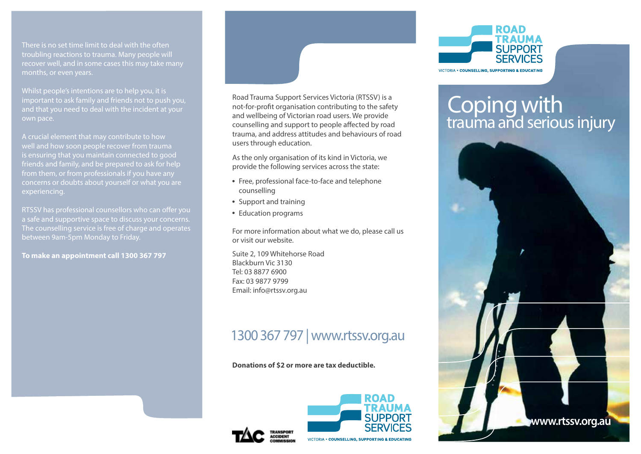There is no set time limit to deal with the often troubling reactions to trauma. Many people will recover well, and in some cases this may take many months, or even years.

Whilst people's intentions are to help you, it is important to ask family and friends not to push you, and that you need to deal with the incident at your own pace.

A crucial element that may contribute to how well and how soon people recover from trauma is ensuring that you maintain connected to good friends and family, and be prepared to ask for help from them, or from professionals if you have any concerns or doubts about yourself or what you are experiencing.

RTSSV has professional counsellors who can offer you a safe and supportive space to discuss your concerns. The counselling service is free of charge and operates

**To make an appointment call 1300 367 797** 



Road Trauma Support Services Victoria (RTSSV) is a not-for-profit organisation contributing to the safety and wellbeing of Victorian road users. We provide counselling and support to people affected by road trauma, and address attitudes and behaviours of road users through education.

As the only organisation of its kind in Victoria, we provide the following services across the state:

- Free, professional face-to-face and telephone counselling
- Support and training
- Education programs

For more information about what we do, please call us or visit our website.

Suite 2, 109 Whitehorse Road Blackburn Vic 3130 Tel: 03 8877 6900 Fax: 03 9877 9799 Email: info@rtssv.org.au

# 1300 367 797 | www.rtssv.org.au

**Donations of \$2 or more are tax deductible.**





# Coping with trauma and serious injury